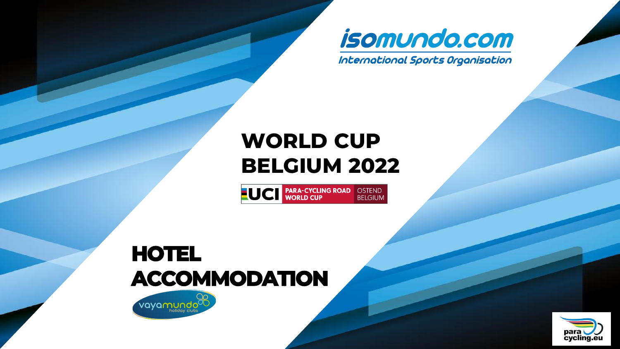

International Sports Organisation

# **WORLD CUP BELGIUM 2022**

**NOCE PARA-CYCLING ROAD OSTEND WORLD CUP** 

# **HOTEL ACCOMMODATION**



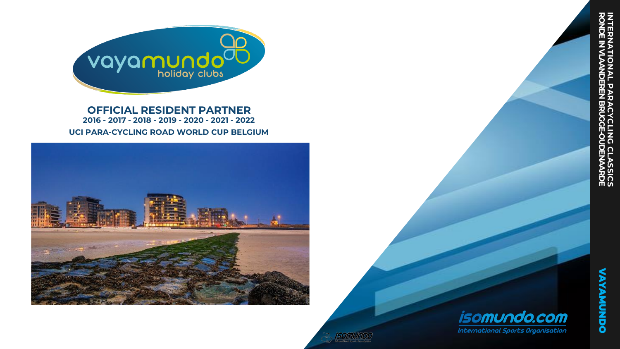

**OFFICIAL RESIDENT PARTNER 2016 - 2017 - 2018 - 2019 - 2020 - 2021 - 2022 UCI PARA-CYCLING ROAD WORLD CUP BELGIUM**



**VAYAMUNDO**

**VAYAMUNDO** 

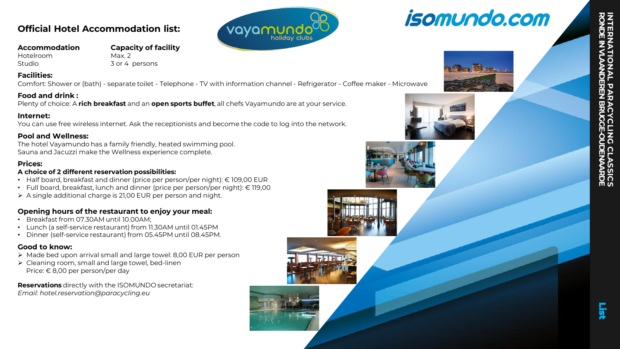### **Official Hotel Accommodation list:**

**Accommodation Capacity of facility**  Hotelroom Max. 2

Studio 3 or 4 persons

#### **Facilities:**

Comfort: Shower or (bath) - separate toilet - Telephone - TV with information channel - Refrigerator - Coffee maker - Microwave

#### **Food and drink :**

Plenty of choice: A **rich breakfast** and an **open sports buffet**, all chefs Vayamundo are at your service.

#### **Internet:**

You can use free wireless internet. Ask the receptionists and become the code to log into the network.

#### **Pool and Wellness:**

The hotel Vayamundo has a family friendly, heated swimming pool. Sauna and Jacuzzi make the Wellness experience complete.

#### **Prices:**

#### **A choice of 2 different reservation possibilities:**

- Half board, breakfast and dinner (price per person/per night): € 109,00 EUR
- Full board, breakfast, lunch and dinner (price per person/per night): € 119,00
- ➢ A single additional charge is 21,00 EUR per person and night.

### **Opening hours of the restaurant to enjoy your meal:**

- Breakfast from 07.30AM until 10.00AM;
- Lunch (a self-service restaurant) from 11.30AM until 01.45PM
- Dinner (self-service restaurant) from 05.45PM until 08.45PM.

### **Good to know:**

- ➢ Made bed upon arrival small and large towel: 8,00 EUR per person
- ➢ Cleaning room, small and large towel, bed-linen Price: € 8,00 per person/per day

**Reservations** directly with the ISOMUNDO secretariat: *Email: hotel.reservation@paracycling.eu*



# *isomundo.com*